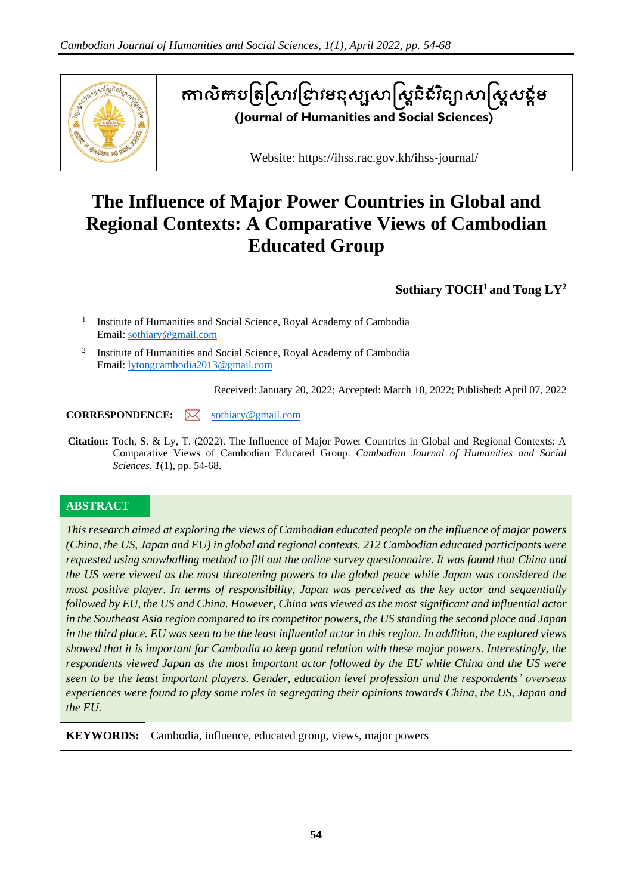

# តាលិកាបត្រស្រាវជ្រាវមនុស្សសាស្ត្រីនិរវន្យាសាស្ត្រសន្តម **(Journal of Humanities and Social Sciences)**

Website: https://ihss.rac.gov.kh/ihss-journal/

# **The Influence of Major Power Countries in Global and Regional Contexts: A Comparative Views of Cambodian Educated Group**

**Sothiary TOCH<sup>1</sup>and Tong LY<sup>2</sup>**

1 Institute of Humanities and Social Science, Royal Academy of Cambodia Email: [sothiary@gmail.com](mailto:sothiary@gmail.com)

<sup>2</sup> Institute of Humanities and Social Science, Royal Academy of Cambodia Email: [lytongcambodia2013@gmail.com](mailto:lytongcambodia2013@gmail.com)

Received: January 20, 2022; Accepted: March 10, 2022; Published: April 07, 2022

## **CORRESPONDENCE:**  $\bowtie$  [sothiary@gmail.com](mailto:sothiary@gmail.com)

**Citation:** Toch, S. & Ly, T. (2022). The Influence of Major Power Countries in Global and Regional Contexts: A Comparative Views of Cambodian Educated Group. *Cambodian Journal of Humanities and Social Sciences*, *1*(1), pp. 54-68.

# **ABSTRACT**

*This research aimed at exploring the views of Cambodian educated people on the influence of major powers (China, the US, Japan and EU) in global and regional contexts. 212 Cambodian educated participants were requested using snowballing method to fill out the online survey questionnaire. It was found that China and the US were viewed as the most threatening powers to the global peace while Japan was considered the most positive player. In terms of responsibility, Japan was perceived as the key actor and sequentially followed by EU, the US and China. However, China was viewed as the most significant and influential actor in the Southeast Asia region compared to its competitor powers, the US standing the second place and Japan in the third place. EU was seen to be the least influential actor in this region. In addition, the explored views showed that it is important for Cambodia to keep good relation with these major powers. Interestingly, the respondents viewed Japan as the most important actor followed by the EU while China and the US were seen to be the least important players. Gender, education level profession and the respondents' overseas experiences were found to play some roles in segregating their opinions towards China, the US, Japan and the EU.*

**KEYWORDS:** Cambodia, influence, educated group, views, major powers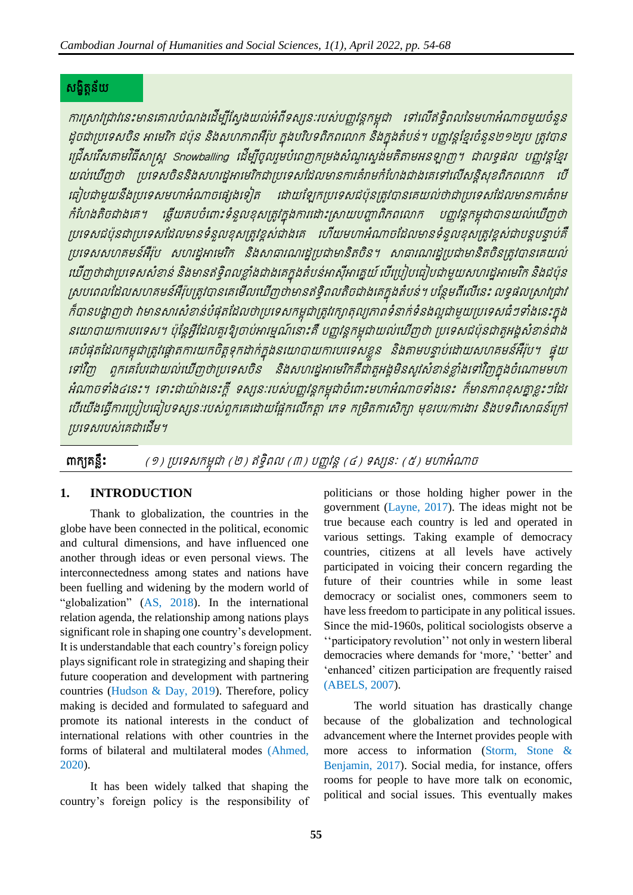# សង្ខិត្តន័យ

ការស្រាវជ្រាវនេះមានគោលបំណងដើម្បីស្វែងយល់អំពីទស្សនៈរបស់បញ្ញវន្តកម្ពុជា ទៅលើឥទ្ធិពលនៃមហាអំណាចមួយចំនួន ដូចជាប្រទេសចិន អាមេរិក ជប៉ុន និងសហភាពអឺរ៉ុប ក្នុងបរិបទពិភពលោក និងក្នុងតំបន់។ បញ្ញវន្តខ្មែរចំនួន២១២រូប ត្រូវបាន រជ្រើសរើសតាមវិធីសាស្រ្ត Snowballing ដើម្បីចូលរួមបំពេញកម្រងសំណួរស្ទង់់មតិតាមអនឡាញ។ ជាលទ្ធផល បញ្ញវន្តខ្មែរ យល់ឃើញថា ប្រទេសចិននិងសហរដ្ឋអាមេរិកជាប្រទេសដែលមានការគំរាមកំហែងជាងគេទៅលើសន្តិសុខពិភពលោក បើ ធៀបជាមួយនឹងប្រទេសមហាអំណាចផ្សេងទៀត ដោយឡែកប្រទេសជប៉ុនត្រូវបានគេយល់ថាជាប្រទេសដែលមានការគំរាម កំហែងតិចជាងគេ។ ឆ្លើយតបចំពោះទំនួលខុសត្រូវក្នុងការដោះស្រាយបញ្ហាពិភពលោក បញ្ញវន្តកម្ពុជាបានយល់ឃើញថា ប្រទេសជប៉ុនជាប្រទេសដែលមានទំនួលខុសត្រូវខ្ពស់ជាងគេ ហើយមហាអំណាចដែលមានទំនួលខុសត្រូវខ្ពស់ជាបន្តបន្ទាប់គឺ ប្រទេសសហគមន៍អឺរ៉ុប សហរដ្ឋអាមេរិក និងសាធារណរដ្ឋប្រជាមានិតចិន។ សាធារណរដ្ឋប្រជាមានិតចិនត្រូវបានគេយល់ យើញថាជាប្រទេសសំខាន់ និងមានឥទ្ធិពលខ្លាំងជាងគេក្នុងតំបន់អាស៊ីអាគ្នេយ៍ បើប្រៀបធៀបជាមួយសហរដ្ឋអាមេរិក និងជប៉ុន ស្របពេលដែលសហគមន៍អឺរ៉ុបត្រូវបានគេមើលឃើញថាមានឥទ្ធិពលតិចជាងគេក្នុងតំបន់។ បន្ថែមពីលើនេះ លទ្ធផលស្រាវជ្រាវ ក៏បានបង្ហាញថា វាមានសារសំខាន់បំផុតដែលថាប្រទេសកម្ពុជាត្រូវរក្សាតុល្យភាពទំនាក់ទំនងល្អជាមួយប្រទេសធំៗទាំងនេះក្នុង នយោបាយការបរទេស។ ប៉ុន្តែអ្វីដែលគួរឱ្យចាប់អារម្មណ៍នោះគឺ បញ្ញវន្តកម្ពុជាយល់ឃើញថា ប្រទេសជប៉ុនជាតួអង្គសំខាន់ជាង គេបំផុតដែលកម្ពុជាត្រូវផ្តោតការយកចិត្តទុកដាក់ក្នុងនយោបាយការបរទេសខ្លួន និងតាមបន្ទាប់ដោយសហគមន៍អឺរ៉ុប។ ផ្ទុយ ទៅវិញ ពួកគេបែរជាយល់ឃើញថាប្រទេសចិន និងសហរដ្ឋអាមេរិកគឺជាតួអង្គមិនសូវសំខាន់ខ្លាំងទៅវិញក្នុងចំណោមមហា អំណាចទាំង៤នេះ។ ទោះជាយ៉ាងនេះក្តី ទស្សនៈរបស់បញ្ញវន្តកម្ពុជាចំពោះមហាអំណាចទាំងនេះ ក៏មានភាពខុសគ្នាខ្លះៗដែរ របីយើងធ្វើការប្រៀបធៀបទស្សនៈរបស់ពួកគេដោយផ្អែកលើកត្តា ភេទ កម្រិតការសិក្សា មុខរបរ/ការងារ និងបទពិសោធន៍ក្រៅ ប្រទេសរបស់គេជាដើម។

ពាក្យ**គន្លឹះ** (១) ប្រទេសកម្ពុជា (២) ឥទ្ធិពល (៣) បញ្ញវន្ត (៤) ទស្សនៈ (៥) មហាអំណាច

# **1. INTRODUCTION**

Thank to globalization, the countries in the globe have been connected in the political, economic and cultural dimensions, and have influenced one another through ideas or even personal views. The interconnectedness among states and nations have been fuelling and widening by the modern world of "globalization" (AS, 2018). In the international relation agenda, the relationship among nations plays significant role in shaping one country's development. It is understandable that each country's foreign policy plays significant role in strategizing and shaping their future cooperation and development with partnering countries (Hudson & Day, 2019). Therefore, policy making is decided and formulated to safeguard and promote its national interests in the conduct of international relations with other countries in the forms of bilateral and multilateral modes (Ahmed, 2020).

It has been widely talked that shaping the country's foreign policy is the responsibility of politicians or those holding higher power in the government (Layne, 2017). The ideas might not be true because each country is led and operated in various settings. Taking example of democracy countries, citizens at all levels have actively participated in voicing their concern regarding the future of their countries while in some least democracy or socialist ones, commoners seem to have less freedom to participate in any political issues. Since the mid-1960s, political sociologists observe a ''participatory revolution'' not only in western liberal democracies where demands for 'more,' 'better' and 'enhanced' citizen participation are frequently raised (ABELS, 2007).

The world situation has drastically change because of the globalization and technological advancement where the Internet provides people with more access to information (Storm, Stone & Benjamin, 2017). Social media, for instance, offers rooms for people to have more talk on economic, political and social issues. This eventually makes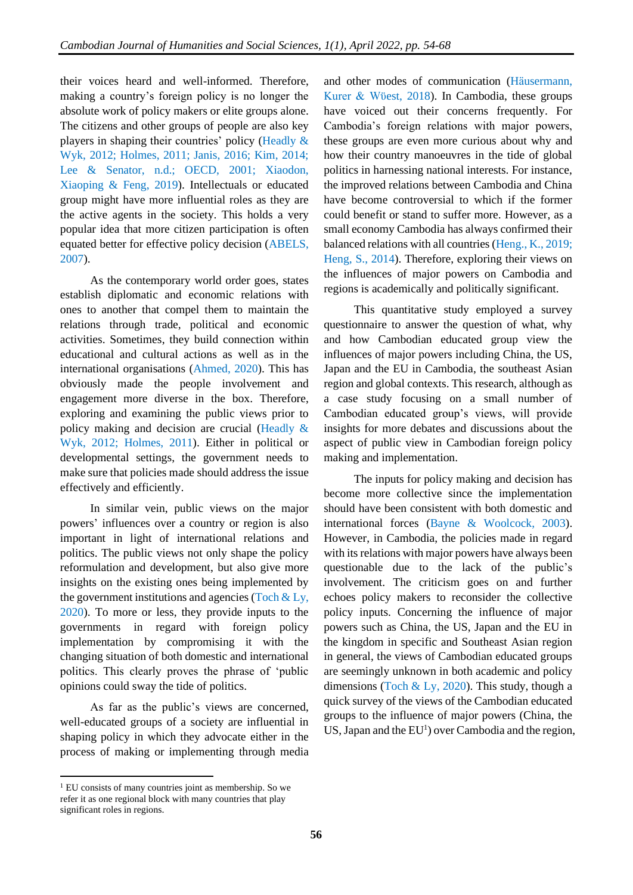their voices heard and well-informed. Therefore, making a country's foreign policy is no longer the absolute work of policy makers or elite groups alone. The citizens and other groups of people are also key players in shaping their countries' policy (Headly & Wyk, 2012; Holmes, 2011; Janis, 2016; Kim, 2014; Lee & Senator, n.d.; OECD, 2001; Xiaodon, Xiaoping & Feng, 2019). Intellectuals or educated group might have more influential roles as they are the active agents in the society. This holds a very popular idea that more citizen participation is often equated better for effective policy decision (ABELS, 2007).

As the contemporary world order goes, states establish diplomatic and economic relations with ones to another that compel them to maintain the relations through trade, political and economic activities. Sometimes, they build connection within educational and cultural actions as well as in the international organisations (Ahmed, 2020). This has obviously made the people involvement and engagement more diverse in the box. Therefore, exploring and examining the public views prior to policy making and decision are crucial (Headly & Wyk, 2012; Holmes, 2011). Either in political or developmental settings, the government needs to make sure that policies made should address the issue effectively and efficiently.

In similar vein, public views on the major powers' influences over a country or region is also important in light of international relations and politics. The public views not only shape the policy reformulation and development, but also give more insights on the existing ones being implemented by the government institutions and agencies (Toch  $&$  Ly, 2020). To more or less, they provide inputs to the governments in regard with foreign policy implementation by compromising it with the changing situation of both domestic and international politics. This clearly proves the phrase of 'public opinions could sway the tide of politics.

As far as the public's views are concerned, well-educated groups of a society are influential in shaping policy in which they advocate either in the process of making or implementing through media

and other modes of communication (Häusermann, Kurer & Wϋest, 2018). In Cambodia, these groups have voiced out their concerns frequently. For Cambodia's foreign relations with major powers, these groups are even more curious about why and how their country manoeuvres in the tide of global politics in harnessing national interests. For instance, the improved relations between Cambodia and China have become controversial to which if the former could benefit or stand to suffer more. However, as a small economy Cambodia has always confirmed their balanced relations with all countries (Heng., K., 2019; Heng, S., 2014). Therefore, exploring their views on the influences of major powers on Cambodia and regions is academically and politically significant.

This quantitative study employed a survey questionnaire to answer the question of what, why and how Cambodian educated group view the influences of major powers including China, the US, Japan and the EU in Cambodia, the southeast Asian region and global contexts. This research, although as a case study focusing on a small number of Cambodian educated group's views, will provide insights for more debates and discussions about the aspect of public view in Cambodian foreign policy making and implementation.

The inputs for policy making and decision has become more collective since the implementation should have been consistent with both domestic and international forces (Bayne & Woolcock, 2003). However, in Cambodia, the policies made in regard with its relations with major powers have always been questionable due to the lack of the public's involvement. The criticism goes on and further echoes policy makers to reconsider the collective policy inputs. Concerning the influence of major powers such as China, the US, Japan and the EU in the kingdom in specific and Southeast Asian region in general, the views of Cambodian educated groups are seemingly unknown in both academic and policy dimensions (Toch & Ly, 2020). This study, though a quick survey of the views of the Cambodian educated groups to the influence of major powers (China, the US, Japan and the  $EU<sup>1</sup>$ ) over Cambodia and the region,

<sup>&</sup>lt;sup>1</sup> EU consists of many countries joint as membership. So we refer it as one regional block with many countries that play significant roles in regions.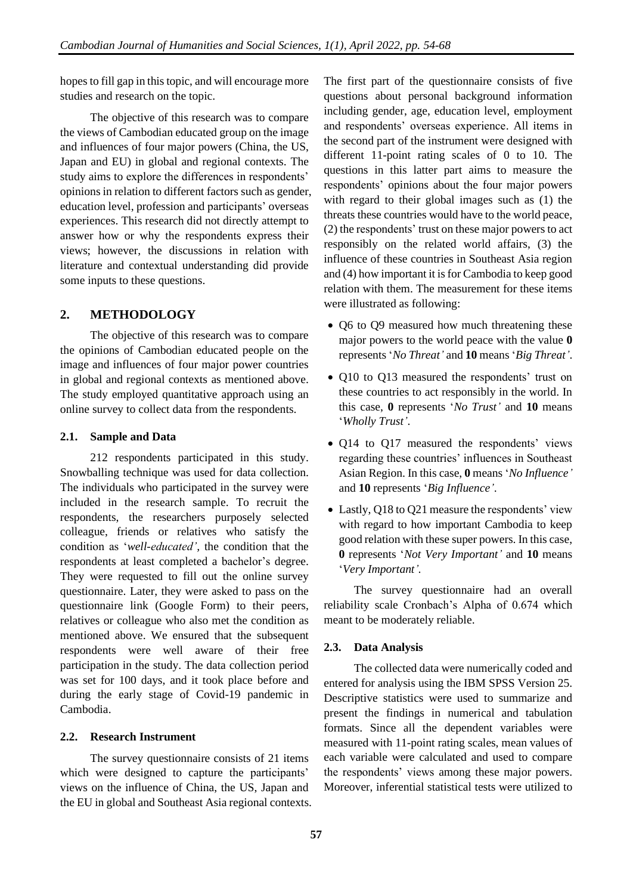hopes to fill gap in this topic, and will encourage more studies and research on the topic.

The objective of this research was to compare the views of Cambodian educated group on the image and influences of four major powers (China, the US, Japan and EU) in global and regional contexts. The study aims to explore the differences in respondents' opinions in relation to different factors such as gender, education level, profession and participants' overseas experiences. This research did not directly attempt to answer how or why the respondents express their views; however, the discussions in relation with literature and contextual understanding did provide some inputs to these questions.

# **2. METHODOLOGY**

The objective of this research was to compare the opinions of Cambodian educated people on the image and influences of four major power countries in global and regional contexts as mentioned above. The study employed quantitative approach using an online survey to collect data from the respondents.

# **2.1. Sample and Data**

212 respondents participated in this study. Snowballing technique was used for data collection. The individuals who participated in the survey were included in the research sample. To recruit the respondents, the researchers purposely selected colleague, friends or relatives who satisfy the condition as '*well-educated',* the condition that the respondents at least completed a bachelor's degree. They were requested to fill out the online survey questionnaire. Later, they were asked to pass on the questionnaire link (Google Form) to their peers, relatives or colleague who also met the condition as mentioned above. We ensured that the subsequent respondents were well aware of their free participation in the study. The data collection period was set for 100 days, and it took place before and during the early stage of Covid-19 pandemic in Cambodia.

# **2.2. Research Instrument**

The survey questionnaire consists of 21 items which were designed to capture the participants' views on the influence of China, the US, Japan and the EU in global and Southeast Asia regional contexts. The first part of the questionnaire consists of five questions about personal background information including gender, age, education level, employment and respondents' overseas experience. All items in the second part of the instrument were designed with different 11-point rating scales of 0 to 10. The questions in this latter part aims to measure the respondents' opinions about the four major powers with regard to their global images such as (1) the threats these countries would have to the world peace, (2) the respondents' trust on these major powers to act responsibly on the related world affairs, (3) the influence of these countries in Southeast Asia region and (4) how important it is for Cambodia to keep good relation with them. The measurement for these items were illustrated as following:

- Q6 to Q9 measured how much threatening these major powers to the world peace with the value **0** represents '*No Threat'* and **10** means '*Big Threat'*.
- Q10 to Q13 measured the respondents' trust on these countries to act responsibly in the world. In this case, **0** represents '*No Trust'* and **10** means '*Wholly Trust'*.
- Q14 to Q17 measured the respondents' views regarding these countries' influences in Southeast Asian Region. In this case, **0** means '*No Influence'* and **10** represents '*Big Influence'*.
- Lastly, Q18 to Q21 measure the respondents' view with regard to how important Cambodia to keep good relation with these super powers. In this case, **0** represents '*Not Very Important'* and **10** means '*Very Important'.*

The survey questionnaire had an overall reliability scale Cronbach's Alpha of 0.674 which meant to be moderately reliable.

# **2.3. Data Analysis**

The collected data were numerically coded and entered for analysis using the IBM SPSS Version 25. Descriptive statistics were used to summarize and present the findings in numerical and tabulation formats. Since all the dependent variables were measured with 11-point rating scales, mean values of each variable were calculated and used to compare the respondents' views among these major powers. Moreover, inferential statistical tests were utilized to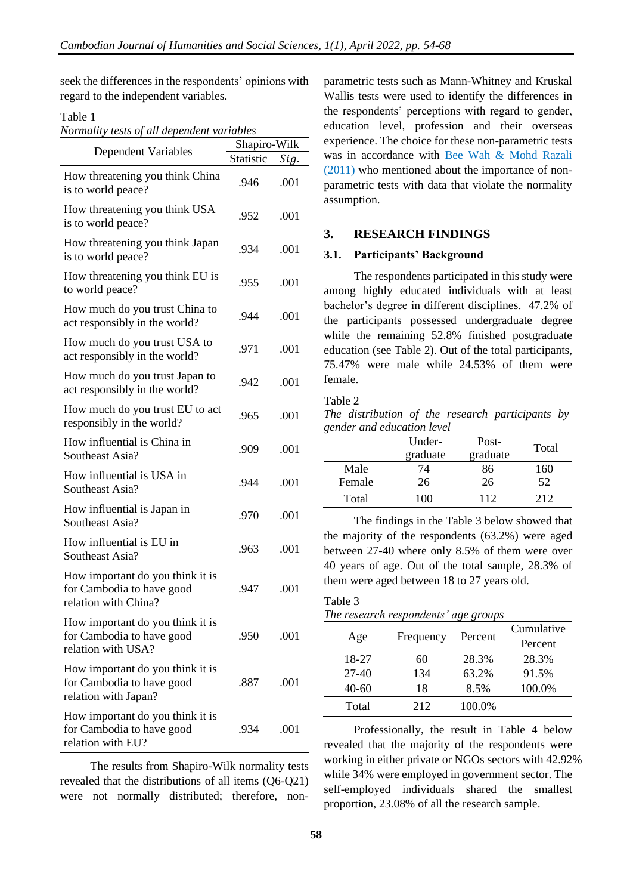seek the differences in the respondents' opinions with regard to the independent variables.

#### Table 1

| Normality tests of all dependent variables |  |  |
|--------------------------------------------|--|--|
|                                            |  |  |

|                                                                                       | Shapiro-Wilk |      |
|---------------------------------------------------------------------------------------|--------------|------|
| <b>Dependent Variables</b>                                                            | Statistic    | Sig. |
| How threatening you think China<br>is to world peace?                                 | .946         | .001 |
| How threatening you think USA<br>is to world peace?                                   | .952         | .001 |
| How threatening you think Japan<br>is to world peace?                                 | .934         | .001 |
| How threatening you think EU is<br>to world peace?                                    | .955         | .001 |
| How much do you trust China to<br>act responsibly in the world?                       | .944         | .001 |
| How much do you trust USA to<br>act responsibly in the world?                         | .971         | .001 |
| How much do you trust Japan to<br>act responsibly in the world?                       | .942         | .001 |
| How much do you trust EU to act<br>responsibly in the world?                          | .965         | .001 |
| How influential is China in<br>Southeast Asia?                                        | .909         | .001 |
| How influential is USA in<br>Southeast Asia?                                          | .944         | .001 |
| How influential is Japan in<br>Southeast Asia?                                        | .970         | .001 |
| How influential is EU in<br>Southeast Asia?                                           | .963         | .001 |
| How important do you think it is<br>for Cambodia to have good<br>relation with China? | .947         | .001 |
| How important do you think it is<br>for Cambodia to have good<br>relation with USA?   | .950         | .001 |
| How important do you think it is<br>for Cambodia to have good<br>relation with Japan? | .887         | .001 |
| How important do you think it is<br>for Cambodia to have good<br>relation with EU?    | .934         | .001 |

The results from Shapiro-Wilk normality tests revealed that the distributions of all items (Q6-Q21) were not normally distributed; therefore, nonparametric tests such as Mann-Whitney and Kruskal Wallis tests were used to identify the differences in the respondents' perceptions with regard to gender, education level, profession and their overseas experience. The choice for these non-parametric tests was in accordance with Bee Wah & Mohd Razali (2011) who mentioned about the importance of nonparametric tests with data that violate the normality assumption.

#### **3. RESEARCH FINDINGS**

#### **3.1. Participants' Background**

The respondents participated in this study were among highly educated individuals with at least bachelor's degree in different disciplines. 47.2% of the participants possessed undergraduate degree while the remaining 52.8% finished postgraduate education (see Table 2). Out of the total participants, 75.47% were male while 24.53% of them were female.

#### Table 2

*The distribution of the research participants by gender and education level*

|        | Under-   | Post-    | Total |
|--------|----------|----------|-------|
|        | graduate | graduate |       |
| Male   | 74       | 86       | 160   |
| Female | 26       | 26       | 52.   |
| Total  | 10O      | 112      | 212   |

The findings in the Table 3 below showed that the majority of the respondents (63.2%) were aged between 27-40 where only 8.5% of them were over 40 years of age. Out of the total sample, 28.3% of them were aged between 18 to 27 years old.

# Table 3 *The research respondents' age groups*

| Age     | Frequency | Percent | Cumulative |
|---------|-----------|---------|------------|
|         |           |         | Percent    |
| 18-27   | 60        | 28.3%   | 28.3%      |
| $27-40$ | 134       | 63.2%   | 91.5%      |
| 40-60   | 18        | 8.5%    | 100.0%     |
| Total   | 212       | 100.0%  |            |

Professionally, the result in Table 4 below revealed that the majority of the respondents were working in either private or NGOs sectors with 42.92% while 34% were employed in government sector. The self-employed individuals shared the smallest proportion, 23.08% of all the research sample.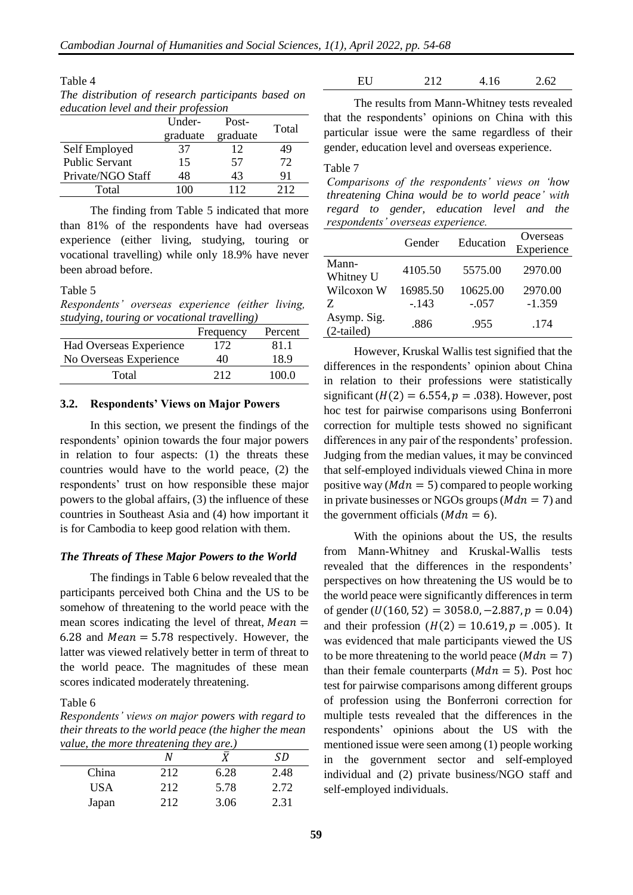| Table 4                                            |  |
|----------------------------------------------------|--|
| The distribution of research participants based on |  |
| education level and their profession               |  |

|                       | Under-   | Post-    | Total |
|-----------------------|----------|----------|-------|
|                       | graduate | graduate |       |
| Self Employed         | 37       | 12       | 49    |
| <b>Public Servant</b> | 15       | 57       | 72    |
| Private/NGO Staff     | 48       | 43       | 91    |
| Total                 | 100      | 112      | 212   |

The finding from Table 5 indicated that more than 81% of the respondents have had overseas experience (either living, studying, touring or vocational travelling) while only 18.9% have never been abroad before.

#### Table 5

*Respondents' overseas experience (either living, studying, touring or vocational travelling)*

|                         | Frequency | Percent |
|-------------------------|-----------|---------|
| Had Overseas Experience | 172       | 81.1    |
| No Overseas Experience  | 40        | 189     |
| Total                   | 212       | 100 0   |

#### **3.2. Respondents' Views on Major Powers**

In this section, we present the findings of the respondents' opinion towards the four major powers in relation to four aspects: (1) the threats these countries would have to the world peace, (2) the respondents' trust on how responsible these major powers to the global affairs, (3) the influence of these countries in Southeast Asia and (4) how important it is for Cambodia to keep good relation with them.

#### *The Threats of These Major Powers to the World*

The findings in Table 6 below revealed that the participants perceived both China and the US to be somehow of threatening to the world peace with the mean scores indicating the level of threat,  $Mean =$ 6.28 and  $Mean = 5.78$  respectively. However, the latter was viewed relatively better in term of threat to the world peace. The magnitudes of these mean scores indicated moderately threatening.

Table 6

*Respondents' views on major powers with regard to their threats to the world peace (the higher the mean value, the more threatening they are.)*

| $r$ and $r$ , the thought is the called the $r$ and $r$ and $r$ |     |      |      |  |
|-----------------------------------------------------------------|-----|------|------|--|
|                                                                 |     |      | SD.  |  |
| China                                                           | 212 | 6.28 | 2.48 |  |
| USA                                                             | 212 | 5.78 | 2.72 |  |
| Japan                                                           | 212 | 3.06 | 2.31 |  |

EU 212 4.16 2.62

The results from Mann-Whitney tests revealed that the respondents' opinions on China with this particular issue were the same regardless of their gender, education level and overseas experience.

#### Table 7

*Comparisons of the respondents' views on 'how threatening China would be to world peace' with regard to gender, education level and the respondents' overseas experience.*

|                             | Gender   | Education | Overseas<br>Experience |
|-----------------------------|----------|-----------|------------------------|
| Mann-<br>Whitney U          | 4105.50  | 5575.00   | 2970.00                |
| Wilcoxon W                  | 16985.50 | 10625.00  | 2970.00                |
| Z                           | $-143$   | $-.057$   | $-1.359$               |
| Asymp. Sig.<br>$(2-tailed)$ | .886     | .955      | .174                   |

However, Kruskal Wallis test signified that the differences in the respondents' opinion about China in relation to their professions were statistically significant ( $H(2) = 6.554$ ,  $p = .038$ ). However, post hoc test for pairwise comparisons using Bonferroni correction for multiple tests showed no significant differences in any pair of the respondents' profession. Judging from the median values, it may be convinced that self-employed individuals viewed China in more positive way ( $Mdn = 5$ ) compared to people working in private businesses or NGOs groups ( $Mdn = 7$ ) and the government officials ( $Mdn = 6$ ).

With the opinions about the US, the results from Mann-Whitney and Kruskal-Wallis tests revealed that the differences in the respondents' perspectives on how threatening the US would be to the world peace were significantly differences in term of gender  $(U(160, 52) = 3058.0, -2.887, p = 0.04)$ and their profession  $(H(2) = 10.619, p = .005)$ . It was evidenced that male participants viewed the US to be more threatening to the world peace  $(Mdn = 7)$ than their female counterparts ( $Mdn = 5$ ). Post hoc test for pairwise comparisons among different groups of profession using the Bonferroni correction for multiple tests revealed that the differences in the respondents' opinions about the US with the mentioned issue were seen among (1) people working in the government sector and self-employed individual and (2) private business/NGO staff and self-employed individuals.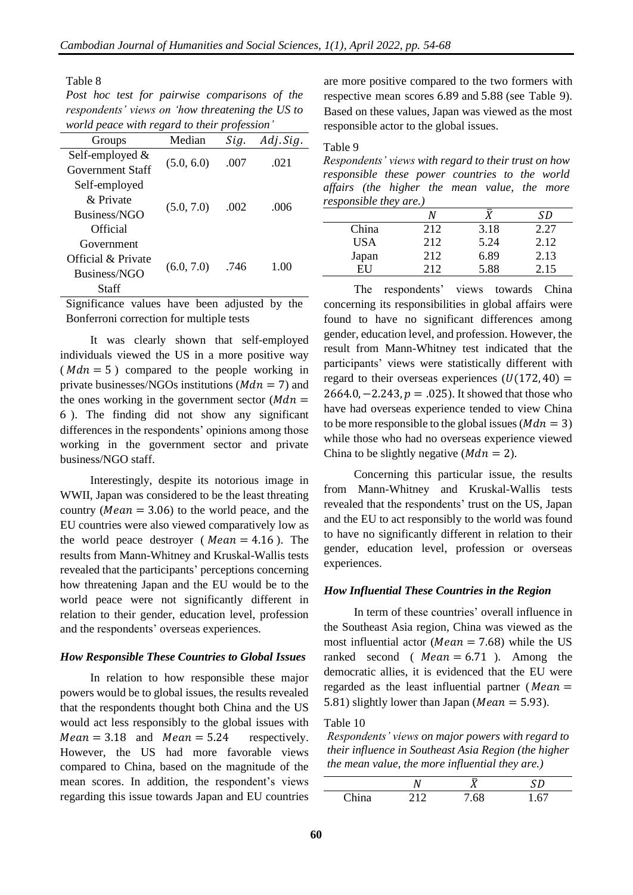Table 8

*Post hoc test for pairwise comparisons of the respondents' views on 'how threatening the US to world peace with regard to their profession'*

| Groups             | Median     | Sig. | Adj. Sig. |
|--------------------|------------|------|-----------|
| Self-employed $&$  | (5.0, 6.0) | .007 | .021      |
| Government Staff   |            |      |           |
| Self-employed      |            |      |           |
| & Private          |            | .002 | -006      |
| Business/NGO       | (5.0, 7.0) |      |           |
| Official           |            |      |           |
| Government         |            |      |           |
| Official & Private |            |      |           |
| Business/NGO       | (6.0, 7.0) | .746 | 100       |
| Staff              |            |      |           |

Significance values have been adjusted by the Bonferroni correction for multiple tests

It was clearly shown that self-employed individuals viewed the US in a more positive way ( $Mdn = 5$ ) compared to the people working in private businesses/NGOs institutions ( $Mdn = 7$ ) and the ones working in the government sector  $(Mdn =$ 6 ). The finding did not show any significant differences in the respondents' opinions among those working in the government sector and private business/NGO staff.

Interestingly, despite its notorious image in WWII, Japan was considered to be the least threating country ( $Mean = 3.06$ ) to the world peace, and the EU countries were also viewed comparatively low as the world peace destroyer ( $Mean = 4.16$ ). The results from Mann-Whitney and Kruskal-Wallis tests revealed that the participants' perceptions concerning how threatening Japan and the EU would be to the world peace were not significantly different in relation to their gender, education level, profession and the respondents' overseas experiences.

#### *How Responsible These Countries to Global Issues*

In relation to how responsible these major powers would be to global issues, the results revealed that the respondents thought both China and the US would act less responsibly to the global issues with  $Mean = 3.18$  and  $Mean = 5.24$  respectively. However, the US had more favorable views compared to China, based on the magnitude of the mean scores. In addition, the respondent's views regarding this issue towards Japan and EU countries

are more positive compared to the two formers with respective mean scores 6.89 and 5.88 (see Table 9). Based on these values, Japan was viewed as the most responsible actor to the global issues.

#### Table 9

*Respondents' views with regard to their trust on how responsible these power countries to the world affairs (the higher the mean value, the more responsible they are.)*

|       |     |      | SD   |
|-------|-----|------|------|
| China | 212 | 3.18 | 2.27 |
| USA   | 212 | 5.24 | 2.12 |
| Japan | 212 | 6.89 | 2.13 |
| FН    | 212 | 5.88 | 2.15 |

The respondents' views towards China concerning its responsibilities in global affairs were found to have no significant differences among gender, education level, and profession. However, the result from Mann-Whitney test indicated that the participants' views were statistically different with regard to their overseas experiences  $(U(172, 40) =$ 2664.0,  $-2.243$ ,  $p = .025$ ). It showed that those who have had overseas experience tended to view China to be more responsible to the global issues  $(Mdn = 3)$ while those who had no overseas experience viewed China to be slightly negative  $(Mdn = 2)$ .

Concerning this particular issue, the results from Mann-Whitney and Kruskal-Wallis tests revealed that the respondents' trust on the US, Japan and the EU to act responsibly to the world was found to have no significantly different in relation to their gender, education level, profession or overseas experiences.

#### *How Influential These Countries in the Region*

In term of these countries' overall influence in the Southeast Asia region, China was viewed as the most influential actor ( $Mean = 7.68$ ) while the US ranked second (  $Mean = 6.71$  ). Among the democratic allies, it is evidenced that the EU were regarded as the least influential partner ( $Mean =$ 5.81) slightly lower than Japan ( $Mean = 5.93$ ).

#### Table 10

*Respondents' views on major powers with regard to their influence in Southeast Asia Region (the higher the mean value, the more influential they are.)*

| $\gamma_{\rm \bf{hino}}$ | 212 | 7.68 | 67 |
|--------------------------|-----|------|----|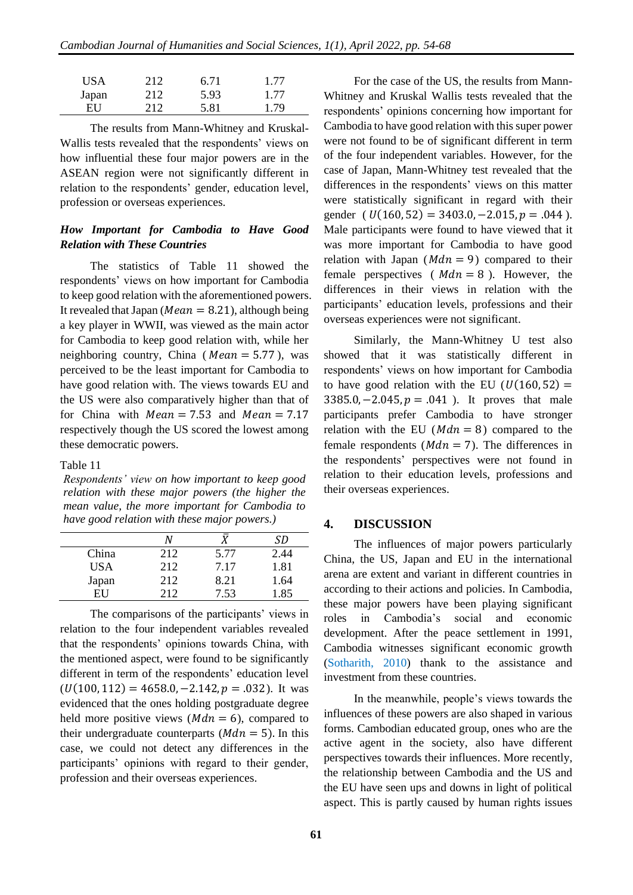| <b>USA</b> | 212 | 6.71 | 1.77 |
|------------|-----|------|------|
| Japan      | 212 | 5.93 | 1.77 |
| EU         | 212 | 5.81 | 1.79 |

The results from Mann-Whitney and Kruskal-Wallis tests revealed that the respondents' views on how influential these four major powers are in the ASEAN region were not significantly different in relation to the respondents' gender, education level, profession or overseas experiences.

## *How Important for Cambodia to Have Good Relation with These Countries*

The statistics of Table 11 showed the respondents' views on how important for Cambodia to keep good relation with the aforementioned powers. It revealed that Japan ( $Mean = 8.21$ ), although being a key player in WWII, was viewed as the main actor for Cambodia to keep good relation with, while her neighboring country, China ( $Mean = 5.77$ ), was perceived to be the least important for Cambodia to have good relation with. The views towards EU and the US were also comparatively higher than that of for China with  $Mean = 7.53$  and  $Mean = 7.17$ respectively though the US scored the lowest among these democratic powers.

#### Table 11

*Respondents' view on how important to keep good relation with these major powers (the higher the mean value, the more important for Cambodia to have good relation with these major powers.)*

|            | N    |      | SD   |
|------------|------|------|------|
| China      | 212  | 5.77 | 2.44 |
| <b>USA</b> | 212  | 7.17 | 1.81 |
| Japan      | 212  | 8.21 | 1.64 |
| FH         | 2.12 | 7.53 | 1.85 |

The comparisons of the participants' views in relation to the four independent variables revealed that the respondents' opinions towards China, with the mentioned aspect, were found to be significantly different in term of the respondents' education level  $(U(100, 112) = 4658.0, -2.142, p = .032)$ . It was evidenced that the ones holding postgraduate degree held more positive views ( $Mdn = 6$ ), compared to their undergraduate counterparts  $(Mdn = 5)$ . In this case, we could not detect any differences in the participants' opinions with regard to their gender, profession and their overseas experiences.

For the case of the US, the results from Mann-Whitney and Kruskal Wallis tests revealed that the respondents' opinions concerning how important for Cambodia to have good relation with this super power were not found to be of significant different in term of the four independent variables. However, for the case of Japan, Mann-Whitney test revealed that the differences in the respondents' views on this matter were statistically significant in regard with their gender (  $U(160, 52) = 3403.0, -2.015, p = .044$  ). Male participants were found to have viewed that it was more important for Cambodia to have good relation with Japan ( $Mdn = 9$ ) compared to their female perspectives ( $Mdn = 8$ ). However, the differences in their views in relation with the participants' education levels, professions and their overseas experiences were not significant.

Similarly, the Mann-Whitney U test also showed that it was statistically different in respondents' views on how important for Cambodia to have good relation with the EU ( $U(160, 52) =$  $3385.0, -2.045, p = .041$ ). It proves that male participants prefer Cambodia to have stronger relation with the EU ( $Mdn = 8$ ) compared to the female respondents ( $Mdn = 7$ ). The differences in the respondents' perspectives were not found in relation to their education levels, professions and their overseas experiences.

#### **4. DISCUSSION**

The influences of major powers particularly China, the US, Japan and EU in the international arena are extent and variant in different countries in according to their actions and policies. In Cambodia, these major powers have been playing significant roles in Cambodia's social and economic development. After the peace settlement in 1991, Cambodia witnesses significant economic growth (Sotharith, 2010) thank to the assistance and investment from these countries.

In the meanwhile, people's views towards the influences of these powers are also shaped in various forms. Cambodian educated group, ones who are the active agent in the society, also have different perspectives towards their influences. More recently, the relationship between Cambodia and the US and the EU have seen ups and downs in light of political aspect. This is partly caused by human rights issues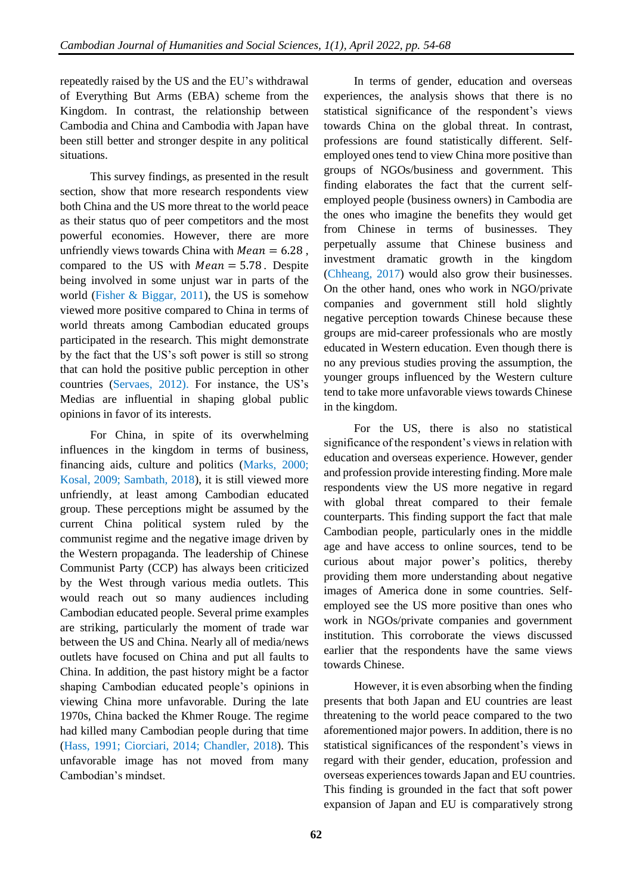repeatedly raised by the US and the EU's withdrawal of Everything But Arms (EBA) scheme from the Kingdom. In contrast, the relationship between Cambodia and China and Cambodia with Japan have been still better and stronger despite in any political situations.

This survey findings, as presented in the result section, show that more research respondents view both China and the US more threat to the world peace as their status quo of peer competitors and the most powerful economies. However, there are more unfriendly views towards China with  $Mean = 6.28$ . compared to the US with  $Mean = 5.78$ . Despite being involved in some unjust war in parts of the world (Fisher & Biggar, 2011), the US is somehow viewed more positive compared to China in terms of world threats among Cambodian educated groups participated in the research. This might demonstrate by the fact that the US's soft power is still so strong that can hold the positive public perception in other countries (Servaes, 2012). For instance, the US's Medias are influential in shaping global public opinions in favor of its interests.

For China, in spite of its overwhelming influences in the kingdom in terms of business, financing aids, culture and politics (Marks, 2000; Kosal, 2009; Sambath, 2018), it is still viewed more unfriendly, at least among Cambodian educated group. These perceptions might be assumed by the current China political system ruled by the communist regime and the negative image driven by the Western propaganda. The leadership of Chinese Communist Party (CCP) has always been criticized by the West through various media outlets. This would reach out so many audiences including Cambodian educated people. Several prime examples are striking, particularly the moment of trade war between the US and China. Nearly all of media/news outlets have focused on China and put all faults to China. In addition, the past history might be a factor shaping Cambodian educated people's opinions in viewing China more unfavorable. During the late 1970s, China backed the Khmer Rouge. The regime had killed many Cambodian people during that time (Hass, 1991; Ciorciari, 2014; Chandler, 2018). This unfavorable image has not moved from many Cambodian's mindset.

In terms of gender, education and overseas experiences, the analysis shows that there is no statistical significance of the respondent's views towards China on the global threat. In contrast, professions are found statistically different. Selfemployed ones tend to view China more positive than groups of NGOs/business and government. This finding elaborates the fact that the current selfemployed people (business owners) in Cambodia are the ones who imagine the benefits they would get from Chinese in terms of businesses. They perpetually assume that Chinese business and investment dramatic growth in the kingdom (Chheang, 2017) would also grow their businesses. On the other hand, ones who work in NGO/private companies and government still hold slightly negative perception towards Chinese because these groups are mid-career professionals who are mostly educated in Western education. Even though there is no any previous studies proving the assumption, the younger groups influenced by the Western culture tend to take more unfavorable views towards Chinese in the kingdom.

For the US, there is also no statistical significance of the respondent's views in relation with education and overseas experience. However, gender and profession provide interesting finding. More male respondents view the US more negative in regard with global threat compared to their female counterparts. This finding support the fact that male Cambodian people, particularly ones in the middle age and have access to online sources, tend to be curious about major power's politics, thereby providing them more understanding about negative images of America done in some countries. Selfemployed see the US more positive than ones who work in NGOs/private companies and government institution. This corroborate the views discussed earlier that the respondents have the same views towards Chinese.

However, it is even absorbing when the finding presents that both Japan and EU countries are least threatening to the world peace compared to the two aforementioned major powers. In addition, there is no statistical significances of the respondent's views in regard with their gender, education, profession and overseas experiences towards Japan and EU countries. This finding is grounded in the fact that soft power expansion of Japan and EU is comparatively strong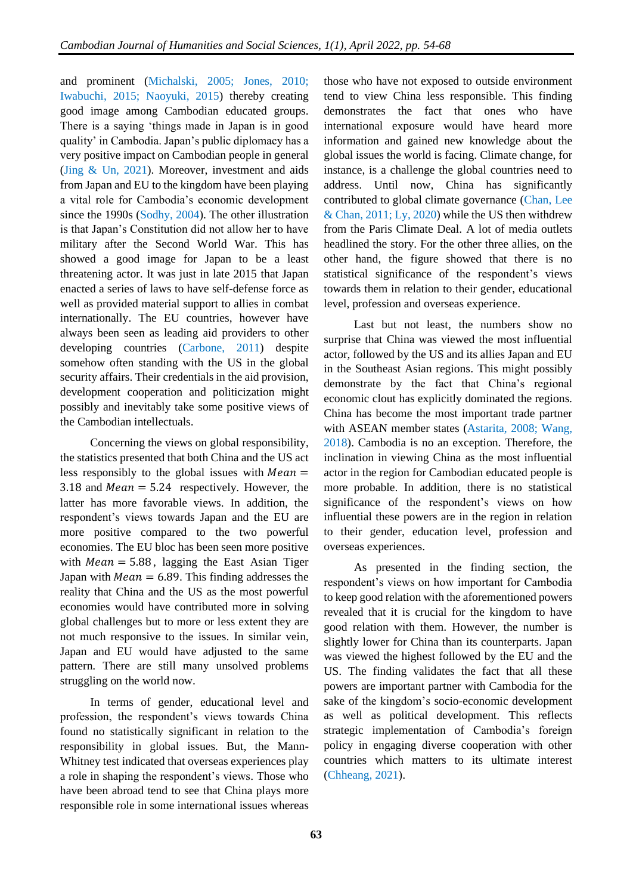and prominent (Michalski, 2005; Jones, 2010; Iwabuchi, 2015; Naoyuki, 2015) thereby creating good image among Cambodian educated groups. There is a saying 'things made in Japan is in good quality' in Cambodia. Japan's public diplomacy has a very positive impact on Cambodian people in general (Jing & Un, 2021). Moreover, investment and aids from Japan and EU to the kingdom have been playing a vital role for Cambodia's economic development since the 1990s (Sodhy, 2004). The other illustration is that Japan's Constitution did not allow her to have military after the Second World War. This has showed a good image for Japan to be a least threatening actor. It was just in late 2015 that Japan enacted a series of laws to have self-defense force as well as provided material support to allies in combat internationally. The EU countries, however have always been seen as leading aid providers to other developing countries (Carbone, 2011) despite somehow often standing with the US in the global security affairs. Their credentials in the aid provision, development cooperation and politicization might possibly and inevitably take some positive views of the Cambodian intellectuals.

Concerning the views on global responsibility, the statistics presented that both China and the US act less responsibly to the global issues with  $Mean =$ 3.18 and  $Mean = 5.24$  respectively. However, the latter has more favorable views. In addition, the respondent's views towards Japan and the EU are more positive compared to the two powerful economies. The EU bloc has been seen more positive with  $Mean = 5.88$ , lagging the East Asian Tiger Japan with  $Mean = 6.89$ . This finding addresses the reality that China and the US as the most powerful economies would have contributed more in solving global challenges but to more or less extent they are not much responsive to the issues. In similar vein, Japan and EU would have adjusted to the same pattern. There are still many unsolved problems struggling on the world now.

In terms of gender, educational level and profession, the respondent's views towards China found no statistically significant in relation to the responsibility in global issues. But, the Mann-Whitney test indicated that overseas experiences play a role in shaping the respondent's views. Those who have been abroad tend to see that China plays more responsible role in some international issues whereas

those who have not exposed to outside environment tend to view China less responsible. This finding demonstrates the fact that ones who have international exposure would have heard more information and gained new knowledge about the global issues the world is facing. Climate change, for instance, is a challenge the global countries need to address. Until now, China has significantly contributed to global climate governance (Chan, Lee & Chan, 2011; Ly, 2020) while the US then withdrew from the Paris Climate Deal. A lot of media outlets headlined the story. For the other three allies, on the other hand, the figure showed that there is no statistical significance of the respondent's views towards them in relation to their gender, educational level, profession and overseas experience.

Last but not least, the numbers show no surprise that China was viewed the most influential actor, followed by the US and its allies Japan and EU in the Southeast Asian regions. This might possibly demonstrate by the fact that China's regional economic clout has explicitly dominated the regions. China has become the most important trade partner with ASEAN member states (Astarita, 2008; Wang, 2018). Cambodia is no an exception. Therefore, the inclination in viewing China as the most influential actor in the region for Cambodian educated people is more probable. In addition, there is no statistical significance of the respondent's views on how influential these powers are in the region in relation to their gender, education level, profession and overseas experiences.

As presented in the finding section, the respondent's views on how important for Cambodia to keep good relation with the aforementioned powers revealed that it is crucial for the kingdom to have good relation with them. However, the number is slightly lower for China than its counterparts. Japan was viewed the highest followed by the EU and the US. The finding validates the fact that all these powers are important partner with Cambodia for the sake of the kingdom's socio-economic development as well as political development. This reflects strategic implementation of Cambodia's foreign policy in engaging diverse cooperation with other countries which matters to its ultimate interest (Chheang, 2021).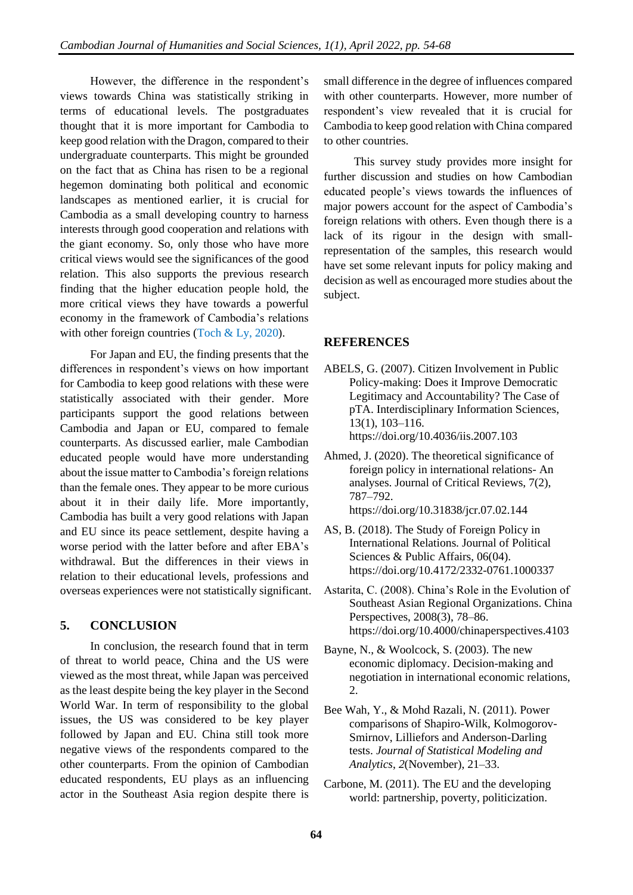However, the difference in the respondent's views towards China was statistically striking in terms of educational levels. The postgraduates thought that it is more important for Cambodia to keep good relation with the Dragon, compared to their undergraduate counterparts. This might be grounded on the fact that as China has risen to be a regional hegemon dominating both political and economic landscapes as mentioned earlier, it is crucial for Cambodia as a small developing country to harness interests through good cooperation and relations with the giant economy. So, only those who have more critical views would see the significances of the good relation. This also supports the previous research finding that the higher education people hold, the more critical views they have towards a powerful economy in the framework of Cambodia's relations with other foreign countries (Toch & Ly, 2020).

For Japan and EU, the finding presents that the differences in respondent's views on how important for Cambodia to keep good relations with these were statistically associated with their gender. More participants support the good relations between Cambodia and Japan or EU, compared to female counterparts. As discussed earlier, male Cambodian educated people would have more understanding about the issue matter to Cambodia's foreign relations than the female ones. They appear to be more curious about it in their daily life. More importantly, Cambodia has built a very good relations with Japan and EU since its peace settlement, despite having a worse period with the latter before and after EBA's withdrawal. But the differences in their views in relation to their educational levels, professions and overseas experiences were not statistically significant.

## **5. CONCLUSION**

In conclusion, the research found that in term of threat to world peace, China and the US were viewed as the most threat, while Japan was perceived as the least despite being the key player in the Second World War. In term of responsibility to the global issues, the US was considered to be key player followed by Japan and EU. China still took more negative views of the respondents compared to the other counterparts. From the opinion of Cambodian educated respondents, EU plays as an influencing actor in the Southeast Asia region despite there is

small difference in the degree of influences compared with other counterparts. However, more number of respondent's view revealed that it is crucial for Cambodia to keep good relation with China compared to other countries.

This survey study provides more insight for further discussion and studies on how Cambodian educated people's views towards the influences of major powers account for the aspect of Cambodia's foreign relations with others. Even though there is a lack of its rigour in the design with smallrepresentation of the samples, this research would have set some relevant inputs for policy making and decision as well as encouraged more studies about the subject.

## **REFERENCES**

- ABELS, G. (2007). Citizen Involvement in Public Policy-making: Does it Improve Democratic Legitimacy and Accountability? The Case of pTA. Interdisciplinary Information Sciences, 13(1), 103–116. https://doi.org/10.4036/iis.2007.103
- Ahmed, J. (2020). The theoretical significance of foreign policy in international relations- An analyses. Journal of Critical Reviews, 7(2), 787–792. https://doi.org/10.31838/jcr.07.02.144
- AS, B. (2018). The Study of Foreign Policy in International Relations. Journal of Political Sciences & Public Affairs, 06(04). https://doi.org/10.4172/2332-0761.1000337
- Astarita, C. (2008). China's Role in the Evolution of Southeast Asian Regional Organizations. China Perspectives, 2008(3), 78–86. https://doi.org/10.4000/chinaperspectives.4103
- Bayne, N., & Woolcock, S. (2003). The new economic diplomacy. Decision-making and negotiation in international economic relations, 2.
- Bee Wah, Y., & Mohd Razali, N. (2011). Power comparisons of Shapiro-Wilk, Kolmogorov-Smirnov, Lilliefors and Anderson-Darling tests. *Journal of Statistical Modeling and Analytics*, *2*(November), 21–33.
- Carbone, M. (2011). The EU and the developing world: partnership, poverty, politicization.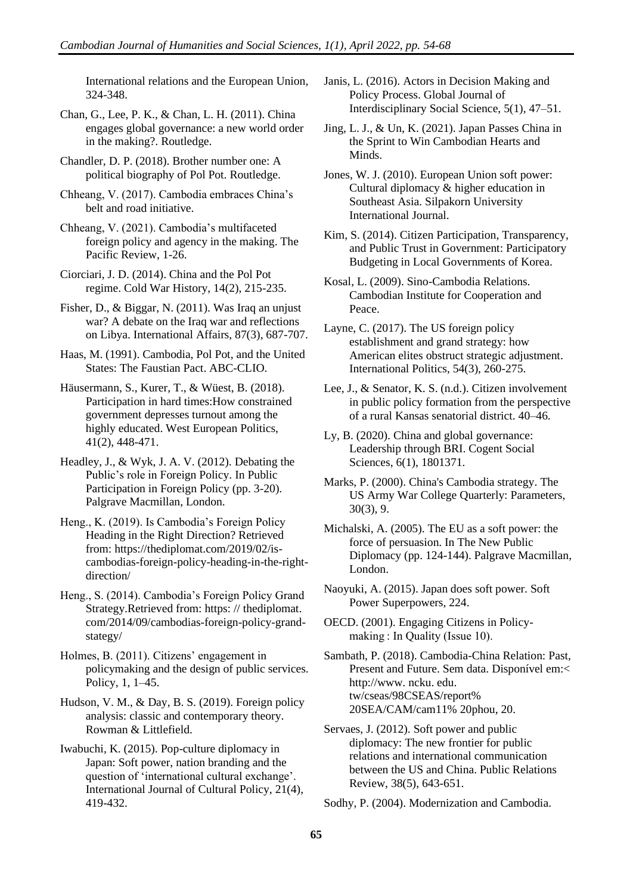International relations and the European Union, 324-348.

Chan, G., Lee, P. K., & Chan, L. H. (2011). China engages global governance: a new world order in the making?. Routledge.

Chandler, D. P. (2018). Brother number one: A political biography of Pol Pot. Routledge.

Chheang, V. (2017). Cambodia embraces China's belt and road initiative.

Chheang, V. (2021). Cambodia's multifaceted foreign policy and agency in the making. The Pacific Review, 1-26.

Ciorciari, J. D. (2014). China and the Pol Pot regime. Cold War History, 14(2), 215-235.

Fisher, D., & Biggar, N. (2011). Was Iraq an unjust war? A debate on the Iraq war and reflections on Libya. International Affairs, 87(3), 687-707.

Haas, M. (1991). Cambodia, Pol Pot, and the United States: The Faustian Pact. ABC-CLIO.

Häusermann, S., Kurer, T., & Wüest, B. (2018). Participation in hard times:How constrained government depresses turnout among the highly educated. West European Politics, 41(2), 448-471.

Headley, J., & Wyk, J. A. V. (2012). Debating the Public's role in Foreign Policy. In Public Participation in Foreign Policy (pp. 3-20). Palgrave Macmillan, London.

Heng., K. (2019). Is Cambodia's Foreign Policy Heading in the Right Direction? Retrieved from: [https://thediplomat.com/2019/02/is](https://thediplomat.com/2019/02/is-cambodias-foreign-policy-heading-in-the-right-direction/)[cambodias-foreign-policy-heading-in-the-right](https://thediplomat.com/2019/02/is-cambodias-foreign-policy-heading-in-the-right-direction/)[direction/](https://thediplomat.com/2019/02/is-cambodias-foreign-policy-heading-in-the-right-direction/)

Heng., S. (2014). Cambodia's Foreign Policy Grand Strategy.Retrieved from: https: // thediplomat. com/2014/09/cambodias-foreign-policy-grandstategy/

Holmes, B. (2011). Citizens' engagement in policymaking and the design of public services. Policy, 1, 1–45.

Hudson, V. M., & Day, B. S. (2019). Foreign policy analysis: classic and contemporary theory. Rowman & Littlefield.

Iwabuchi, K. (2015). Pop-culture diplomacy in Japan: Soft power, nation branding and the question of 'international cultural exchange'. International Journal of Cultural Policy, 21(4), 419-432.

Janis, L. (2016). Actors in Decision Making and Policy Process. Global Journal of Interdisciplinary Social Science, 5(1), 47–51.

Jing, L. J., & Un, K. (2021). Japan Passes China in the Sprint to Win Cambodian Hearts and Minds.

Jones, W. J. (2010). European Union soft power: Cultural diplomacy & higher education in Southeast Asia. Silpakorn University International Journal.

Kim, S. (2014). Citizen Participation, Transparency, and Public Trust in Government: Participatory Budgeting in Local Governments of Korea.

Kosal, L. (2009). Sino-Cambodia Relations. Cambodian Institute for Cooperation and Peace.

Layne, C. (2017). The US foreign policy establishment and grand strategy: how American elites obstruct strategic adjustment. International Politics, 54(3), 260-275.

Lee, J., & Senator, K. S. (n.d.). Citizen involvement in public policy formation from the perspective of a rural Kansas senatorial district. 40–46.

Ly, B. (2020). China and global governance: Leadership through BRI. Cogent Social Sciences, 6(1), 1801371.

Marks, P. (2000). China's Cambodia strategy. The US Army War College Quarterly: Parameters, 30(3), 9.

Michalski, A. (2005). The EU as a soft power: the force of persuasion. In The New Public Diplomacy (pp. 124-144). Palgrave Macmillan, London.

Naoyuki, A. (2015). Japan does soft power. Soft Power Superpowers, 224.

OECD. (2001). Engaging Citizens in Policymaking : In Quality (Issue 10).

Sambath, P. (2018). Cambodia-China Relation: Past, Present and Future. Sem data. Disponível em:< http://www. ncku. edu. tw/cseas/98CSEAS/report% 20SEA/CAM/cam11% 20phou, 20.

Servaes, J. (2012). Soft power and public diplomacy: The new frontier for public relations and international communication between the US and China. Public Relations Review, 38(5), 643-651.

Sodhy, P. (2004). Modernization and Cambodia.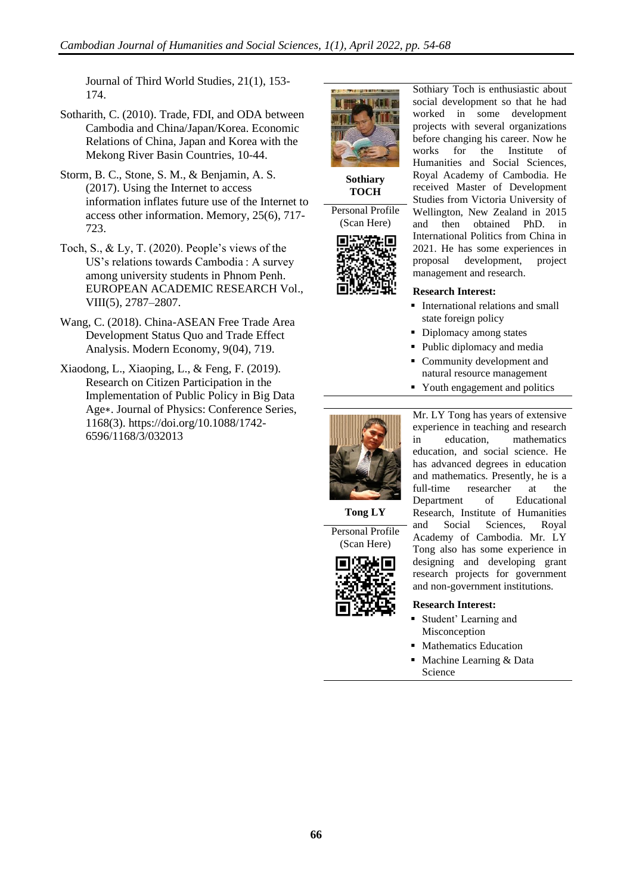Journal of Third World Studies, 21(1), 153- 174.

- Sotharith, C. (2010). Trade, FDI, and ODA between Cambodia and China/Japan/Korea. Economic Relations of China, Japan and Korea with the Mekong River Basin Countries, 10-44.
- Storm, B. C., Stone, S. M., & Benjamin, A. S. (2017). Using the Internet to access information inflates future use of the Internet to access other information. Memory, 25(6), 717- 723.
- Toch, S., & Ly, T. (2020). People's views of the US's relations towards Cambodia : A survey among university students in Phnom Penh. EUROPEAN ACADEMIC RESEARCH Vol., VIII(5), 2787–2807.
- Wang, C. (2018). China-ASEAN Free Trade Area Development Status Quo and Trade Effect Analysis. Modern Economy, 9(04), 719.
- Xiaodong, L., Xiaoping, L., & Feng, F. (2019). Research on Citizen Participation in the Implementation of Public Policy in Big Data Age∗. Journal of Physics: Conference Series, 1168(3). [https://doi.org/10.1088/1742-](https://doi.org/10.1088/1742-6596/1168/3/032013) [6596/1168/3/032013](https://doi.org/10.1088/1742-6596/1168/3/032013)



**Sothiary TOCH**



Sothiary Toch is enthusiastic about social development so that he had worked in some development projects with several organizations before changing his career. Now he works for the Institute of Humanities and Social Sciences, Royal Academy of Cambodia. He received Master of Development Studies from Victoria University of Wellington, New Zealand in 2015 and then obtained PhD. in International Politics from China in 2021. He has some experiences in proposal development, project management and research.

#### **Research Interest:**

- **•** International relations and small state foreign policy
- Diplomacy among states
- Public diplomacy and media
- Community development and natural resource management
- Youth engagement and politics

Mr. LY Tong has years of extensive experience in teaching and research in education, mathematics education, and social science. He



has advanced degrees in education and mathematics. Presently, he is a full-time researcher at the Department of Educational Research, Institute of Humanities and Social Sciences, Royal Academy of Cambodia. Mr. LY Tong also has some experience in designing and developing grant research projects for government

and non-government institutions.

#### **Research Interest:**

- Student' Learning and Misconception
- **Mathematics Education**
- Machine Learning & Data Science

**Tong LY**

Personal Profile (Scan Here)

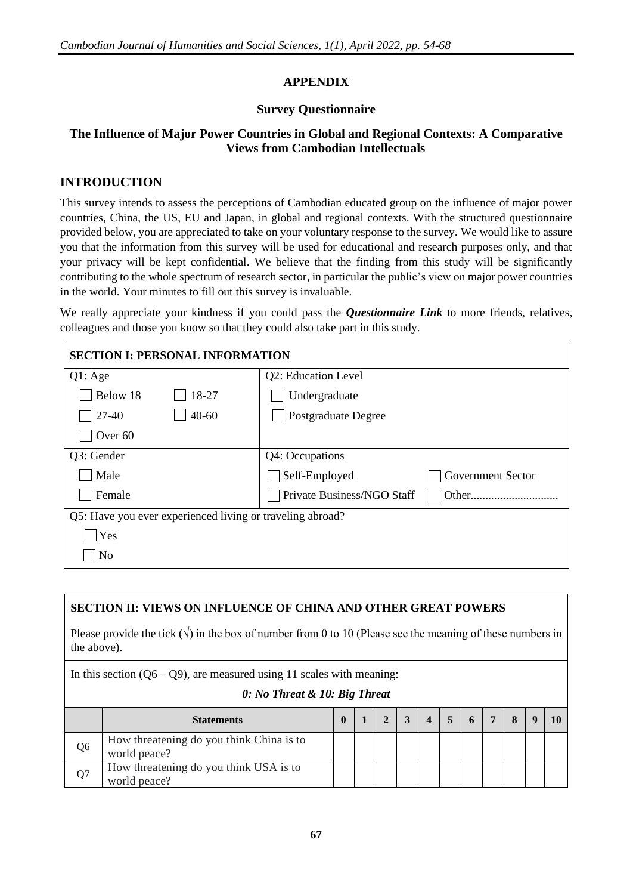# **APPENDIX**

## **Survey Questionnaire**

# **The Influence of Major Power Countries in Global and Regional Contexts: A Comparative Views from Cambodian Intellectuals**

# **INTRODUCTION**

This survey intends to assess the perceptions of Cambodian educated group on the influence of major power countries, China, the US, EU and Japan, in global and regional contexts. With the structured questionnaire provided below, you are appreciated to take on your voluntary response to the survey. We would like to assure you that the information from this survey will be used for educational and research purposes only, and that your privacy will be kept confidential. We believe that the finding from this study will be significantly contributing to the whole spectrum of research sector, in particular the public's view on major power countries in the world. Your minutes to fill out this survey is invaluable.

We really appreciate your kindness if you could pass the *Questionnaire Link* to more friends, relatives, colleagues and those you know so that they could also take part in this study.

| <b>SECTION I: PERSONAL INFORMATION</b>                    |                            |                   |
|-----------------------------------------------------------|----------------------------|-------------------|
| Q1: Age                                                   | Q2: Education Level        |                   |
| Below 18<br>18-27                                         | Undergraduate              |                   |
| $40 - 60$<br>$27 - 40$                                    | Postgraduate Degree        |                   |
| Over <sub>60</sub>                                        |                            |                   |
| Q3: Gender                                                | Q4: Occupations            |                   |
| Male                                                      | Self-Employed              | Government Sector |
| Female                                                    | Private Business/NGO Staff |                   |
| Q5: Have you ever experienced living or traveling abroad? |                            |                   |
| Yes                                                       |                            |                   |
| N <sub>o</sub>                                            |                            |                   |

## **SECTION II: VIEWS ON INFLUENCE OF CHINA AND OTHER GREAT POWERS**

Please provide the tick  $(\sqrt{\ } )$  in the box of number from 0 to 10 (Please see the meaning of these numbers in the above).

In this section  $(Q6 - Q9)$ , are measured using 11 scales with meaning:

#### *0: No Threat & 10: Big Threat*

|                | <b>Statements</b>                                        |  |  |  | $\mathbf{r}$ |  |  |
|----------------|----------------------------------------------------------|--|--|--|--------------|--|--|
| Q <sub>6</sub> | How threatening do you think China is to<br>world peace? |  |  |  |              |  |  |
| Q <sub>7</sub> | How threatening do you think USA is to<br>world peace?   |  |  |  |              |  |  |